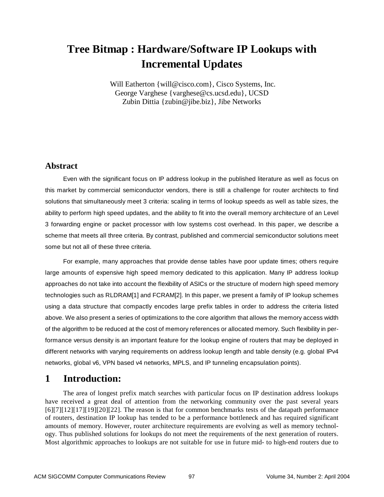# **Tree Bitmap : Hardware/Software IP Lookups with Incremental Updates**

Will Eatherton {will@cisco.com}, Cisco Systems, Inc. George Varghese {varghese@cs.ucsd.edu}, UCSD Zubin Dittia {zubin@jibe.biz}, Jibe Networks

### **Abstract**

Even with the significant focus on IP address lookup in the published literature as well as focus on this market by commercial semiconductor vendors, there is still a challenge for router architects to find solutions that simultaneously meet 3 criteria: scaling in terms of lookup speeds as well as table sizes, the ability to perform high speed updates, and the ability to fit into the overall memory architecture of an Level 3 forwarding engine or packet processor with low systems cost overhead. In this paper, we describe a scheme that meets all three criteria. By contrast, published and commercial semiconductor solutions meet some but not all of these three criteria.

For example, many approaches that provide dense tables have poor update times; others require large amounts of expensive high speed memory dedicated to this application. Many IP address lookup approaches do not take into account the flexibility of ASICs or the structure of modern high speed memory technologies such as RLDRAM[1] and FCRAM[2]. In this paper, we present a family of IP lookup schemes using a data structure that compactly encodes large prefix tables in order to address the criteria listed above. We also present a series of optimizations to the core algorithm that allows the memory access width of the algorithm to be reduced at the cost of memory references or allocated memory. Such flexibility in performance versus density is an important feature for the lookup engine of routers that may be deployed in different networks with varying requirements on address lookup length and table density (e.g. global IPv4 networks, global v6, VPN based v4 networks, MPLS, and IP tunneling encapsulation points).

## **1 Introduction:**

The area of longest prefix match searches with particular focus on IP destination address lookups have received a great deal of attention from the networking community over the past several years [6][7][12][17][19][20][22]. The reason is that for common benchmarks tests of the datapath performance of routers, destination IP lookup has tended to be a performance bottleneck and has required significant amounts of memory. However, router architecture requirements are evolving as well as memory technology. Thus published solutions for lookups do not meet the requirements of the next generation of routers. Most algorithmic approaches to lookups are not suitable for use in future mid- to high-end routers due to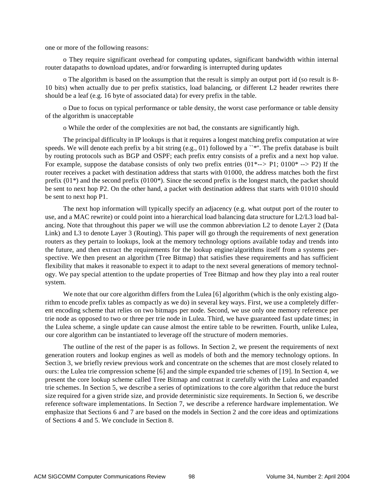one or more of the following reasons:

o They require significant overhead for computing updates, significant bandwidth within internal router datapaths to download updates, and/or forwarding is interrupted during updates

o The algorithm is based on the assumption that the result is simply an output port id (so result is 8- 10 bits) when actually due to per prefix statistics, load balancing, or different L2 header rewrites there should be a leaf (e.g. 16 byte of associated data) for every prefix in the table.

o Due to focus on typical performance or table density, the worst case performance or table density of the algorithm is unacceptable

o While the order of the complexities are not bad, the constants are significantly high.

The principal difficulty in IP lookups is that it requires a longest matching prefix computation at wire speeds. We will denote each prefix by a bit string  $(e.g., 01)$  followed by a  $\cdot$ \*''. The prefix database is built by routing protocols such as BGP and OSPF; each prefix entry consists of a prefix and a next hop value. For example, suppose the database consists of only two prefix entries (01\**-->* P1; 0100\* --> P2) If the router receives a packet with destination address that starts with 01000, the address matches both the first prefix  $(01^*)$  and the second prefix  $(0100^*)$ . Since the second prefix is the longest match, the packet should be sent to next hop P2. On the other hand, a packet with destination address that starts with 01010 should be sent to next hop P1.

The next hop information will typically specify an adjacency (e.g. what output port of the router to use, and a MAC rewrite) or could point into a hierarchical load balancing data structure for L2/L3 load balancing. Note that throughout this paper we will use the common abbreviation L2 to denote Layer 2 (Data Link) and L3 to denote Layer 3 (Routing). This paper will go through the requirements of next generation routers as they pertain to lookups, look at the memory technology options available today and trends into the future, and then extract the requirements for the lookup engine/algorithms itself from a systems perspective. We then present an algorithm (Tree Bitmap) that satisfies these requirements and has sufficient flexibility that makes it reasonable to expect it to adapt to the next several generations of memory technology. We pay special attention to the update properties of Tree Bitmap and how they play into a real router system.

We note that our core algorithm differs from the Lulea [6] algorithm (which is the only existing algorithm to encode prefix tables as compactly as we do) in several key ways. First, we use a completely different encoding scheme that relies on two bitmaps per node. Second, we use only one memory reference per trie node as opposed to two or three per trie node in Lulea. Third, we have guaranteed fast update times; in the Lulea scheme, a single update can cause almost the entire table to be rewritten. Fourth, unlike Lulea, our core algorithm can be instantiated to leverage off the structure of modern memories.

The outline of the rest of the paper is as follows. In Section 2, we present the requirements of next generation routers and lookup engines as well as models of both and the memory technology options. In Section 3, we briefly review previous work and concentrate on the schemes that are most closely related to ours: the Lulea trie compression scheme [6] and the simple expanded trie schemes of [19]. In Section 4, we present the core lookup scheme called Tree Bitmap and contrast it carefully with the Lulea and expanded trie schemes. In Section 5, we describe a series of optimizations to the core algorithm that reduce the burst size required for a given stride size, and provide deterministic size requirements. In Section 6, we describe reference software implementations. In Section 7, we describe a reference hardware implementation. We emphasize that Sections 6 and 7 are based on the models in Section 2 and the core ideas and optimizations of Sections 4 and 5. We conclude in Section 8.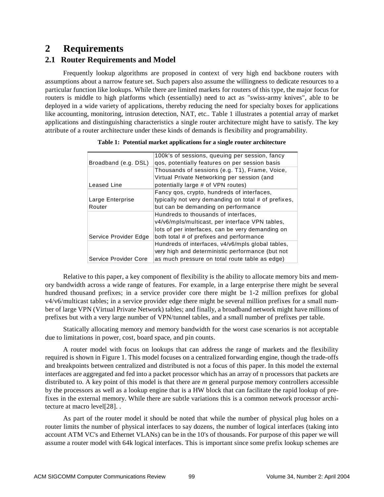## **2 Requirements**

### **2.1 Router Requirements and Model**

Frequently lookup algorithms are proposed in context of very high end backbone routers with assumptions about a narrow feature set. Such papers also assume the willingness to dedicate resources to a particular function like lookups. While there are limited markets for routers of this type, the major focus for routers is middle to high platforms which (essentially) need to act as "swiss-army knives", able to be deployed in a wide variety of applications, thereby reducing the need for specialty boxes for applications like accounting, monitoring, intrusion detection, NAT, etc.. Table 1 illustrates a potential array of market applications and distinguishing characteristics a single router architecture might have to satisfy. The key attribute of a router architecture under these kinds of demands is flexibility and programability.

|                       | 100k's of sessions, queuing per session, fancy       |
|-----------------------|------------------------------------------------------|
| Broadband (e.g. DSL)  | qos, potentially features on per session basis       |
|                       | Thousands of sessions (e.g. T1), Frame, Voice,       |
|                       | Virtual Private Networking per session (and          |
| Leased Line           | potentially large # of VPN routes)                   |
|                       | Fancy qos, crypto, hundreds of interfaces,           |
| Large Enterprise      | typically not very demanding on total # of prefixes, |
| Router                | but can be demanding on performance                  |
|                       | Hundreds to thousands of interfaces,                 |
|                       | v4/v6/mpls/multicast, per interface VPN tables,      |
|                       | lots of per interfaces, can be very demanding on     |
| Service Provider Edge | both total # of prefixes and performance             |
|                       | Hundreds of interfaces, v4/v6/mpls global tables,    |
|                       | very high and deterministic performance (but not     |
| Service Provider Core | as much pressure on total route table as edge)       |

|  |  |  | Table 1: Potential market applications for a single router architecture |
|--|--|--|-------------------------------------------------------------------------|
|  |  |  |                                                                         |

Relative to this paper, a key component of flexibility is the ability to allocate memory bits and memory bandwidth across a wide range of features. For example, in a large enterprise there might be several hundred thousand prefixes; in a service provider core there might be 1-2 million prefixes for global v4/v6/multicast tables; in a service provider edge there might be several million prefixes for a small number of large VPN (Virtual Private Network) tables; and finally, a broadband network might have millions of prefixes but with a very large number of VPN/tunnel tables, and a small number of prefixes per table.

Statically allocating memory and memory bandwidth for the worst case scenarios is not acceptable due to limitations in power, cost, board space, and pin counts.

A router model with focus on lookups that can address the range of markets and the flexibility required is shown in Figure 1. This model focuses on a centralized forwarding engine, though the trade-offs and breakpoints between centralized and distributed is not a focus of this paper. In this model the external interfaces are aggregated and fed into a packet processor which has an array of n processors that packets are distributed to. A key point of this model is that there are *m* general purpose memory controllers accessible by the processors as well as a lookup engine that is a HW block that can facilitate the rapid lookup of prefixes in the external memory. While there are subtle variations this is a common network processor architecture at macro level[28]. .

As part of the router model it should be noted that while the number of physical plug holes on a router limits the number of physical interfaces to say dozens, the number of logical interfaces (taking into account ATM VC's and Ethernet VLANs) can be in the 10's of thousands. For purpose of this paper we will assume a router model with 64k logical interfaces. This is important since some prefix lookup schemes are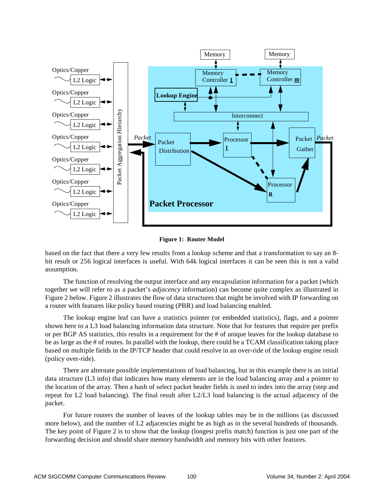

**Figure 1: Router Model**

based on the fact that there a very few results from a lookup scheme and that a transformation to say an 8 bit result or 256 logical interfaces is useful. With 64k logical interfaces it can be seen this is not a valid assumption.

The function of resolving the output interface and any encapsulation information for a packet (which together we will refer to as a packet's *adjacency* information) can become quite complex as illustrated in Figure 2 below. Figure 2 illustrates the flow of data structures that might be involved with IP forwarding on a router with features like policy based routing (PBR) and load balancing enabled.

The lookup engine leaf can have a statistics pointer (or embedded statistics), flags, and a pointer shown here to a L3 load balancing information data structure. Note that for features that require per prefix or per BGP AS statistics, this results in a requirement for the # of unique leaves for the lookup database to be as large as the # of routes. In parallel with the lookup, there could be a TCAM classification taking place based on multiple fields in the IP/TCP header that could resolve in an over-ride of the lookup engine result (policy over-ride).

There are alternate possible implementations of load balancing, but in this example there is an initial data structure (L3 info) that indicates how many elements are in the load balancing array and a pointer to the location of the array. Then a hash of select packet header fields is used to index into the array (step and repeat for L2 load balancing). The final result after L2/L3 load balancing is the actual adjacency of the packet.

For future routers the number of leaves of the lookup tables may be in the millions (as discussed more below), and the number of L2 adjacencies might be as high as in the several hundreds of thousands. The key point of Figure 2 is to show that the lookup (longest prefix match) function is just one part of the forwarding decision and should share memory bandwidth and memory bits with other features.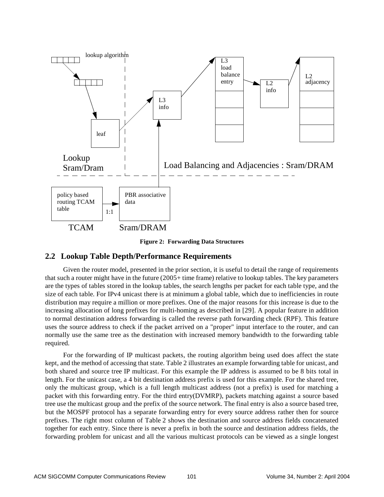



### **2.2 Lookup Table Depth/Performance Requirements**

Given the router model, presented in the prior section, it is useful to detail the range of requirements that such a router might have in the future (2005+ time frame) relative to lookup tables. The key parameters are the types of tables stored in the lookup tables, the search lengths per packet for each table type, and the size of each table. For IPv4 unicast there is at minimum a global table, which due to inefficiencies in route distribution may require a million or more prefixes. One of the major reasons for this increase is due to the increasing allocation of long prefixes for multi-homing as described in [29]. A popular feature in addition to normal destination address forwarding is called the reverse path forwarding check (RPF). This feature uses the source address to check if the packet arrived on a "proper" input interface to the router, and can normally use the same tree as the destination with increased memory bandwidth to the forwarding table required.

For the forwarding of IP multicast packets, the routing algorithm being used does affect the state kept, and the method of accessing that state. Table 2 illustrates an example forwarding table for unicast, and both shared and source tree IP multicast. For this example the IP address is assumed to be 8 bits total in length. For the unicast case, a 4 bit destination address prefix is used for this example. For the shared tree, only the multicast group, which is a full length multicast address (not a prefix) is used for matching a packet with this forwarding entry. For the third entry(DVMRP), packets matching against a source based tree use the multicast group and the prefix of the source network. The final entry is also a source based tree, but the MOSPF protocol has a separate forwarding entry for every source address rather then for source prefixes. The right most column of Table 2 shows the destination and source address fields concatenated together for each entry. Since there is never a prefix in both the source and destination address fields, the forwarding problem for unicast and all the various multicast protocols can be viewed as a single longest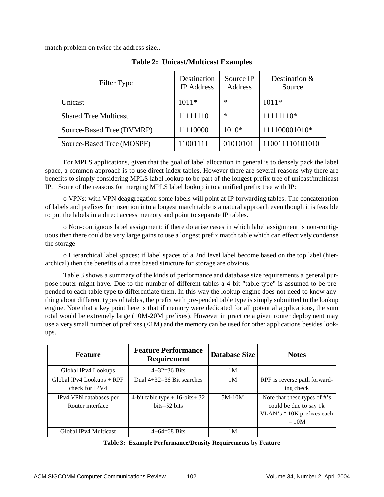match problem on twice the address size..

| Filter Type                  | Destination<br><b>IP</b> Address | Source IP<br>Address | Destination $&$<br>Source |
|------------------------------|----------------------------------|----------------------|---------------------------|
| Unicast                      | $1011*$                          | ∗                    | $1011*$                   |
| <b>Shared Tree Multicast</b> | 11111110                         | ∗                    | 11111110*                 |
| Source-Based Tree (DVMRP)    | 11110000                         | $1010*$              | 111100001010*             |
| Source-Based Tree (MOSPF)    | 11001111                         | 01010101             | 110011110101010           |

**Table 2: Unicast/Multicast Examples**

For MPLS applications, given that the goal of label allocation in general is to densely pack the label space, a common approach is to use direct index tables. However there are several reasons why there are benefits to simply considering MPLS label lookup to be part of the longest prefix tree of unicast/multicast IP. Some of the reasons for merging MPLS label lookup into a unified prefix tree with IP:

o VPNs: with VPN deaggregation some labels will point at IP forwarding tables. The concatenation of labels and prefixes for insertion into a longest match table is a natural approach even though it is feasible to put the labels in a direct access memory and point to separate IP tables.

o Non-contiguous label assignment: if there do arise cases in which label assignment is non-contiguous then there could be very large gains to use a longest prefix match table which can effectively condense the storage

o Hierarchical label spaces: if label spaces of a 2nd level label become based on the top label (hierarchical) then the benefits of a tree based structure for storage are obvious.

Table 3 shows a summary of the kinds of performance and database size requirements a general purpose router might have. Due to the number of different tables a 4-bit "table type" is assumed to be prepended to each table type to differentiate them. In this way the lookup engine does not need to know anything about different types of tables, the prefix with pre-pended table type is simply submitted to the lookup engine. Note that a key point here is that if memory were dedicated for all potential applications, the sum total would be extremely large (10M-20M prefixes). However in practice a given router deployment may use a very small number of prefixes  $\left(\langle 1 \mathbf{M} \rangle \right)$  and the memory can be used for other applications besides lookups.

| <b>Feature</b>                              | <b>Feature Performance</b><br>Requirement              | <b>Database Size</b> | <b>Notes</b>                                                                                   |
|---------------------------------------------|--------------------------------------------------------|----------------------|------------------------------------------------------------------------------------------------|
| Global IPv4 Lookups                         | $4+32=36$ Bits                                         | 1M                   |                                                                                                |
| Global IPv4 Lookups + RPF<br>check for IPV4 | Dual $4+32=36$ Bit searches                            | 1M                   | RPF is reverse path forward-<br>ing check                                                      |
| IPv4 VPN databases per<br>Router interface  | 4-bit table type + $16$ -bits + 32<br>$bits = 52 bits$ | $5M-10M$             | Note that these types of #'s<br>could be due to say 1k<br>VLAN's * 10K prefixes each<br>$=10M$ |
| Global IPv4 Multicast                       | $4+64=68$ Bits                                         | 1M                   |                                                                                                |

| Table 3: Example Performance/Density Requirements by Feature |
|--------------------------------------------------------------|
|--------------------------------------------------------------|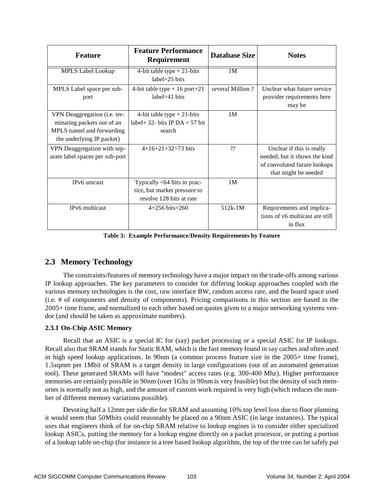| <b>Feature</b>                  | <b>Feature Performance</b><br>Requirement | <b>Database Size</b> | <b>Notes</b>                    |
|---------------------------------|-------------------------------------------|----------------------|---------------------------------|
| <b>MPLS Label Lookup</b>        | 4-bit table type $+ 21$ -bits             | 1M                   |                                 |
|                                 | $label=25$ hits                           |                      |                                 |
| MPLS Label space per sub-       | 4-bit table type $+16$ port $+21$         | several Million?     | Unclear what future service     |
| port                            | $label=41 bits$                           |                      | provider requirements here      |
|                                 |                                           |                      | may be                          |
| VPN Deaggregation (i.e. ter-    | 4-bit table type $+ 21$ -bits             | 1M                   |                                 |
| minating packets out of an      | label + 32 - bits IP DA = 57 bit          |                      |                                 |
| MPLS tunnel and forwarding      | search                                    |                      |                                 |
| the underlying IP packet)       |                                           |                      |                                 |
| VPN Deaggregation with sep-     | $4+16+21+32=73$ bits                      | ??                   | Unclear if this is really       |
| arate label spaces per sub-port |                                           |                      | needed, but it shows the kind   |
|                                 |                                           |                      | of convoluted future lookups    |
|                                 |                                           |                      | that might be needed            |
| IPv6 unicast                    | Typically <64 bits in prac-               | 1 <sub>M</sub>       |                                 |
|                                 | tice, but market pressure to              |                      |                                 |
|                                 | resolve 128 bits at rate                  |                      |                                 |
| IPv6 multicast                  | $4+256$ bits=260                          | 512k-1M              | Requirements and implica-       |
|                                 |                                           |                      | tions of v6 multicast are still |
|                                 |                                           |                      | in flux                         |

**Table 3: Example Performance/Density Requirements by Feature**

### **2.3 Memory Technology**

The constraints/features of memory technology have a major impact on the trade-offs among various IP lookup approaches. The key parameters to consider for differing lookup approaches coupled with the various memory technologies is the cost, raw interface BW, random access rate, and the board space used (i.e. # of components and density of components). Pricing comparisons in this section are based in the 2005+ time frame, and normalized to each other based on quotes given to a major networking systems vendor (and should be taken as approximate numbers).

### **2.3.1 On-Chip ASIC Memory**

Recall that an ASIC is a special IC for (say) packet processing or a special ASIC for IP lookups. Recall also that SRAM stands for Static RAM, which is the fast memory found in say caches and often used in high speed lookup applications. In 90nm (a common process feature size in the 2005+ time frame), 1.5sqmm per 1Mbit of SRAM is a target density in large configurations (out of an automated generation tool). These generated SRAMs will have "modest" access rates (e.g. 300-400 Mhz). Higher performance memories are certainly possible in 90nm (over 1Ghz in 90nm is very feasible) but the density of such memories is normally not as high, and the amount of custom work required is very high (which reduces the number of different memory variations possible).

Devoting half a 12mm per side die for SRAM and assuming 10% top level loss due to floor planning it would seem that 50Mbits could reasonably be placed on a 90nm ASIC (in large instances). The typical uses that engineers think of for on-chip SRAM relative to lookup engines is to consider either specialized lookup ASICs, putting the memory for a lookup engine directly on a packet processor, or putting a portion of a lookup table on-chip (for instance in a tree based lookup algorithm, the top of the tree can be safely put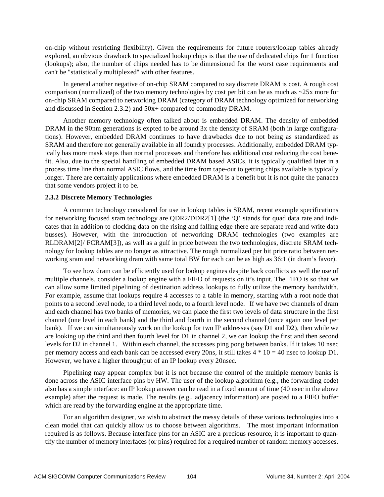on-chip without restricting flexibility). Given the requirements for future routers/lookup tables already explored, an obvious drawback to specialized lookup chips is that the use of dedicated chips for 1 function (lookups); also, the number of chips needed has to be dimensioned for the worst case requirements and can't be "statistically multiplexed" with other features.

In general another negative of on-chip SRAM compared to say discrete DRAM is cost. A rough cost comparison (normalized) of the two memory technologies by cost per bit can be as much as ~25x more for on-chip SRAM compared to networking DRAM (category of DRAM technology optimized for networking and discussed in Section 2.3.2) and 50x+ compared to commodity DRAM.

Another memory technology often talked about is embedded DRAM. The density of embedded DRAM in the 90nm generations is expted to be around 3x the density of SRAM (both in large configurations). However, embedded DRAM continues to have drawbacks due to not being as standardized as SRAM and therefore not generally available in all foundry processes. Additionally, embedded DRAM typically has more mask steps than normal processes and therefore has additional cost reducing the cost benefit. Also, due to the special handling of embedded DRAM based ASICs, it is typically qualified later in a process time line than normal ASIC flows, and the time from tape-out to getting chips available is typically longer. There are certainly applications where embedded DRAM is a benefit but it is not quite the panacea that some vendors project it to be.

#### **2.3.2 Discrete Memory Technologies**

A common technology considered for use in lookup tables is SRAM, recent example specifications for networking focused sram technology are QDR2/DDR2[1] (the 'Q' stands for quad data rate and indicates that in addition to clocking data on the rising and falling edge there are separate read and write data busses). However, with the introduction of networking DRAM technologies (two examples are RLDRAM[2]/ FCRAM[3]), as well as a gulf in price between the two technologies, discrete SRAM technology for lookup tables are no longer as attractive. The rough normalized per bit price ratio between networking sram and networking dram with same total BW for each can be as high as 36:1 (in dram's favor).

To see how dram can be efficiently used for lookup engines despite back conflicts as well the use of multiple channels, consider a lookup engine with a FIFO of requests on it's input. The FIFO is so that we can allow some limited pipelining of destination address lookups to fully utilize the memory bandwidth. For example, assume that lookups require 4 accesses to a table in memory, starting with a root node that points to a second level node, to a third level node, to a fourth level node. If we have two channels of dram and each channel has two banks of memories, we can place the first two levels of data structure in the first channel (one level in each bank) and the third and fourth in the second channel (once again one level per bank). If we can simultaneously work on the lookup for two IP addresses (say D1 and D2), then while we are looking up the third and then fourth level for D1 in channel 2, we can lookup the first and then second levels for D2 in channel 1. Within each channel, the accesses ping pong between banks. If it takes 10 nsec per memory access and each bank can be accessed every 20ns, it still takes 4 \* 10 = 40 nsec to lookup D1. However, we have a higher throughput of an IP lookup every 20nsec.

Pipelining may appear complex but it is not because the control of the multiple memory banks is done across the ASIC interface pins by HW. The user of the lookup algorithm (e.g., the forwarding code) also has a simple interface: an IP lookup answer can be read in a fixed amount of time (40 nsec in the above example) after the request is made. The results (e.g., adjacency information) are posted to a FIFO buffer which are read by the forwarding engine at the appropriate time.

For an algorithm designer, we wish to abstract the messy details of these various technologies into a clean model that can quickly allow us to choose between algorithms. The most important information required is as follows. Because interface pins for an ASIC are a precious resource, it is important to quantify the number of memory interfaces (or pins) required for a required number of random memory accesses.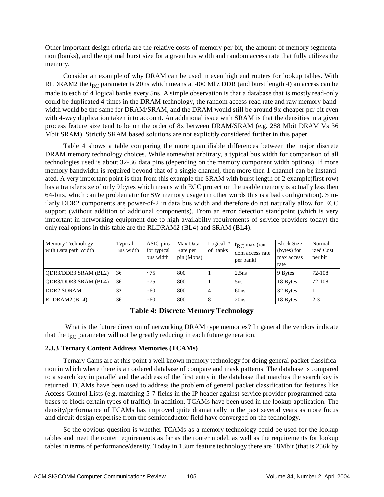Other important design criteria are the relative costs of memory per bit, the amount of memory segmentation (banks), and the optimal burst size for a given bus width and random access rate that fully utilizes the memory.

Consider an example of why DRAM can be used in even high end routers for lookup tables. With RLDRAM2 the t<sub>RC</sub> parameter is 20ns which means at 400 Mhz DDR (and burst length 4) an access can be made to each of 4 logical banks every 5ns. A simple observation is that a database that is mostly read-only could be duplicated 4 times in the DRAM technology, the random access read rate and raw memory bandwidth would be the same for DRAM/SRAM, and the DRAM would still be around 9x cheaper per bit even with 4-way duplication taken into account. An additional issue with SRAM is that the densities in a given process feature size tend to be on the order of 8x between DRAM/SRAM (e.g. 288 Mbit DRAM Vs 36 Mbit SRAM). Strictly SRAM based solutions are not explicitly considered further in this paper.

Table 4 shows a table comparing the more quantifiable differences between the major discrete DRAM memory technology choices. While somewhat arbitrary, a typical bus width for comparison of all technologies used is about 32-36 data pins (depending on the memory component width options). If more memory bandwidth is required beyond that of a single channel, then more then 1 channel can be instantiated. A very important point is that from this example the SRAM with burst length of 2 example(first row) has a transfer size of only 9 bytes which means with ECC protection the usable memory is actually less then 64-bits, which can be problematic for SW memory usage (in other words this is a bad configuration). Similarly DDR2 components are power-of-2 in data bus width and therefore do not naturally allow for ECC support (without addition of addtional components). From an error detection standpoint (which is very important in networking equipment due to high availabilty requirements of service providers today) the only real options in this table are the RLDRAM2 (BL4) and SRAM (BL4).

| Memory Technology<br>with Data path Width | Typical<br>Bus width | ASIC pins<br>for typical<br>bus width | Max Data<br>Rate per<br>pin (Mbps) | of Banks | Logical # $t_{RC}$ max (ran-<br>dom access rate<br>per bank) | <b>Block Size</b><br>(bytes) for<br>max access<br>rate | Normal-<br>ized Cost<br>per bit |
|-------------------------------------------|----------------------|---------------------------------------|------------------------------------|----------|--------------------------------------------------------------|--------------------------------------------------------|---------------------------------|
| QDR3/DDR3 SRAM (BL2)                      | 36                   | ~275                                  | 800                                |          | $2.5$ ns                                                     | 9 Bytes                                                | 72-108                          |
| ODR3/DDR3 SRAM (BL4)                      | 36                   | ~275                                  | 800                                |          | 5 <sub>ns</sub>                                              | 18 Bytes                                               | 72-108                          |
| <b>DDR2 SDRAM</b>                         | 32                   | ~100                                  | 800                                |          | 60 <sub>ns</sub>                                             | 32 Bytes                                               |                                 |
| RLDRAM2 (BL4)                             | 36                   | ~100                                  | 800                                | 8        | 20ns                                                         | 18 Bytes                                               | $2 - 3$                         |

#### **Table 4: Discrete Memory Technology**

 What is the future direction of networking DRAM type memories? In general the vendors indicate that the t<sub>RC</sub> parameter will not be greatly reducing in each future generation.

#### **2.3.3 Ternary Content Address Memories (TCAMs)**

Ternary Cams are at this point a well known memory technology for doing general packet classification in which where there is an ordered database of compare and mask patterns. The database is compared to a search key in parallel and the address of the first entry in the database that matches the search key is returned. TCAMs have been used to address the problem of general packet classification for features like Access Control Lists (e.g. matching 5-7 fields in the IP header against service provider programmed databases to block certain types of traffic). In addition, TCAMs have been used in the lookup application. The density/performance of TCAMs has improved quite dramatically in the past several years as more focus and circuit design expertise from the semiconductor field have converged on the technology.

So the obvious question is whether TCAMs as a memory technology could be used for the lookup tables and meet the router requirements as far as the router model, as well as the requirements for lookup tables in terms of performance/density. Today in.13um feature technology there are 18Mbit (that is 256k by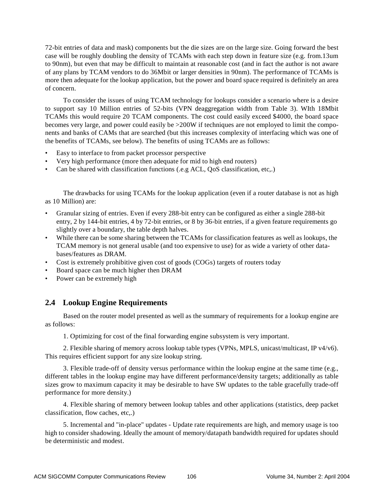72-bit entries of data and mask) components but the die sizes are on the large size. Going forward the best case will be roughly doubling the density of TCAMs with each step down in feature size (e.g. from.13um to 90nm), but even that may be difficult to maintain at reasonable cost (and in fact the author is not aware of any plans by TCAM vendors to do 36Mbit or larger densities in 90nm). The performance of TCAMs is more then adequate for the lookup application, but the power and board space required is definitely an area of concern.

To consider the issues of using TCAM technology for lookups consider a scenario where is a desire to support say 10 Million entries of 52-bits (VPN deaggregation width from Table 3). WIth 18Mbit TCAMs this would require 20 TCAM components. The cost could easily exceed \$4000, the board space becomes very large, and power could easily be >200W if techniques are not employed to limit the components and banks of CAMs that are searched (but this increases complexity of interfacing which was one of the benefits of TCAMs, see below). The benefits of using TCAMs are as follows:

- Easy to interface to from packet processor perspective
- Very high performance (more then adequate for mid to high end routers)
- Can be shared with classification functions (.e.g ACL, QoS classification, etc,.)

The drawbacks for using TCAMs for the lookup application (even if a router database is not as high as 10 Million) are:

- Granular sizing of entries. Even if every 288-bit entry can be configured as either a single 288-bit entry, 2 by 144-bit entries, 4 by 72-bit entries, or 8 by 36-bit entries, if a given feature requirements go slightly over a boundary, the table depth halves.
- While there can be some sharing between the TCAMs for classification features as well as lookups, the TCAM memory is not general usable (and too expensive to use) for as wide a variety of other databases/features as DRAM.
- Cost is extremely prohibitive given cost of goods (COGs) targets of routers today
- Board space can be much higher then DRAM
- Power can be extremely high

### **2.4 Lookup Engine Requirements**

Based on the router model presented as well as the summary of requirements for a lookup engine are as follows:

1. Optimizing for cost of the final forwarding engine subsystem is very important.

2. Flexible sharing of memory across lookup table types (VPNs, MPLS, unicast/multicast, IP v4/v6). This requires efficient support for any size lookup string.

3. Flexible trade-off of density versus performance within the lookup engine at the same time (e.g., different tables in the lookup engine may have different performance/density targets; additionally as table sizes grow to maximum capacity it may be desirable to have SW updates to the table gracefully trade-off performance for more density.)

4. Flexible sharing of memory between lookup tables and other applications (statistics, deep packet classification, flow caches, etc,.)

5. Incremental and "in-place" updates - Update rate requirements are high, and memory usage is too high to consider shadowing. Ideally the amount of memory/datapath bandwidth required for updates should be deterministic and modest.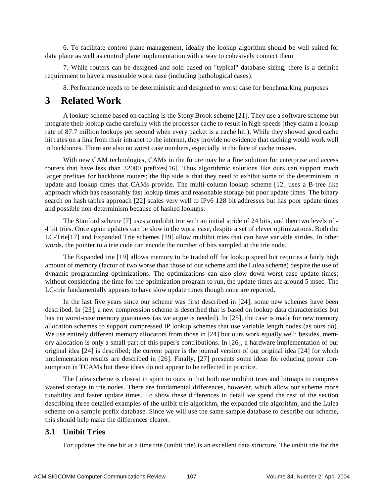6. To facilitate control plane management, ideally the lookup algorithm should be well suited for data plane as well as control plane implementation with a way to cohesively connect them

7. While routers can be designed and sold based on "typical" database sizing, there is a definite requirement to have a reasonable worst case (including pathological cases).

8. Performance needs to be deterministic and designed to worst case for benchmarking purposes

## **3 Related Work**

A lookup scheme based on caching is the Stony Brook scheme [21]. They use a software scheme but integrate their lookup cache carefully with the processor cache to result in high speeds (they claim a lookup rate of 87.7 million lookups per second when every packet is a cache hit.). While they showed good cache hit rates on a link from their intranet to the internet, they provide no evidence that caching would work well in backbones. There are also no worst case numbers, especially in the face of cache misses.

With new CAM technologies, CAMs in the future may be a fine solution for enterprise and access routers that have less than 32000 prefixes[16]. Thus algorithmic solutions like ours can support much larger prefixes for backbone routers; the flip side is that they need to exhibit some of the determinism in update and lookup times that CAMs provide. The multi-column lookup scheme [12] uses a B-tree like approach which has reasonably fast lookup times and reasonable storage but poor update times. The binary search on hash tables approach [22] scales very well to IPv6 128 bit addresses but has poor update times and possible non-determinism because of hashed lookups.

The Stanford scheme [7] uses a multibit trie with an initial stride of 24 bits, and then two levels of - 4 bit tries. Once again updates can be slow in the worst case, despite a set of clever optimizations. Both the LC-Trie[17] and Expanded Trie schemes [19] allow multibit tries that can have variable strides. In other words, the pointer to a trie code can encode the number of bits sampled at the trie node.

The Expanded trie [19] allows memory to be traded off for lookup speed but requires a fairly high amount of memory (factor of two worse than those of our scheme and the Lulea scheme) despite the use of dynamic programming optimizations. The optimizations can also slow down worst case update times; without considering the time for the optimization program to run, the update times are around 5 msec. The LC-trie fundamentally appears to have slow update times though none are reported.

In the last five years since our scheme was first described in [24], some new schemes have been described. In [23], a new compression scheme is described that is based on lookup data characteristics but has no worst-case memory guarantees (as we argue is needed). In [25], the case is made for new memory allocation schemes to support compressed IP lookup schemes that use variable length nodes (as ours do). We use entirely different memory allocators from those in [24] but ours work equally well; besides, memory allocation is only a small part of this paper's contributions. In [26], a hardware implementation of our original idea [24] is described; the current paper is the journal version of our original idea [24] for which implementation results are described in [26]. Finally, [27] presents some ideas for reducing power consumption in TCAMs but these ideas do not appear to be reflected in practice.

The Lulea scheme is closest in spirit to ours in that both use multibit tries and bitmaps to compress wasted storage in trie nodes. There are fundamental differences, however, which allow our scheme more tunability and faster update times. To show these differences in detail we spend the rest of the section describing three detailed examples of the unibit trie algorithm, the expanded trie algorithm, and the Lulea scheme on a sample prefix database. Since we will use the same sample database to describe our scheme, this should help make the differences clearer.

### **3.1 Unibit Tries**

For updates the one bit at a time trie (unibit trie) is an excellent data structure. The unibit trie for the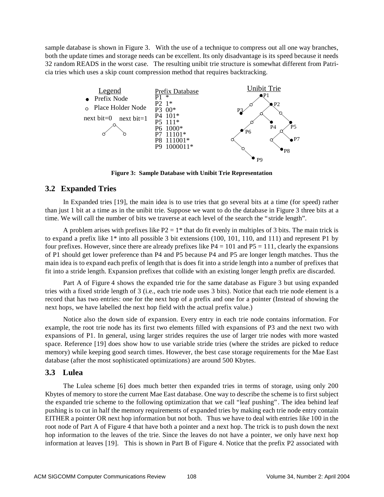sample database is shown in Figure 3. With the use of a technique to compress out all one way branches, both the update times and storage needs can be excellent. Its only disadvantage is its speed because it needs 32 random READS in the worst case. The resulting unibit trie structure is somewhat different from Patricia tries which uses a skip count compression method that requires backtracking.



**Figure 3: Sample Database with Unibit Trie Representation**

### **3.2 Expanded Tries**

In Expanded tries [19], the main idea is to use tries that go several bits at a time (for speed) rather than just 1 bit at a time as in the unibit trie. Suppose we want to do the database in Figure 3 three bits at a time. We will call the number of bits we traverse at each level of the search the "stride length".

A problem arises with prefixes like  $P2 = 1$ <sup>\*</sup> that do fit evenly in multiples of 3 bits. The main trick is to expand a prefix like 1\* into all possible 3 bit extensions (100, 101, 110, and 111) and represent P1 by four prefixes. However, since there are already prefixes like  $P4 = 101$  and  $P5 = 111$ , clearly the expansions of P1 should get lower preference than P4 and P5 because P4 and P5 are longer length matches. Thus the main idea is to expand each prefix of length that is does fit into a stride length into a number of prefixes that fit into a stride length. Expansion prefixes that collide with an existing longer length prefix are discarded.

Part A of Figure 4 shows the expanded trie for the same database as Figure 3 but using expanded tries with a fixed stride length of 3 (i.e., each trie node uses 3 bits). Notice that each trie node element is a record that has two entries: one for the next hop of a prefix and one for a pointer (Instead of showing the next hops, we have labelled the next hop field with the actual prefix value.)

Notice also the down side of expansion. Every entry in each trie node contains information. For example, the root trie node has its first two elements filled with expansions of P3 and the next two with expansions of P1. In general, using larger strides requires the use of larger trie nodes with more wasted space. Reference [19] does show how to use variable stride tries (where the strides are picked to reduce memory) while keeping good search times. However, the best case storage requirements for the Mae East database (after the most sophisticated optimizations) are around 500 Kbytes.

### **3.3 Lulea**

The Lulea scheme [6] does much better then expanded tries in terms of storage, using only 200 Kbytes of memory to store the current Mae East database. One way to describe the scheme is to first subject the expanded trie scheme to the following optimization that we call "leaf pushing". The idea behind leaf pushing is to cut in half the memory requirements of expanded tries by making each trie node entry contain EITHER a pointer OR next hop information but not both. Thus we have to deal with entries like 100 in the root node of Part A of Figure 4 that have both a pointer and a next hop. The trick is to push down the next hop information to the leaves of the trie. Since the leaves do not have a pointer, we only have next hop information at leaves [19]. This is shown in Part B of Figure 4. Notice that the prefix P2 associated with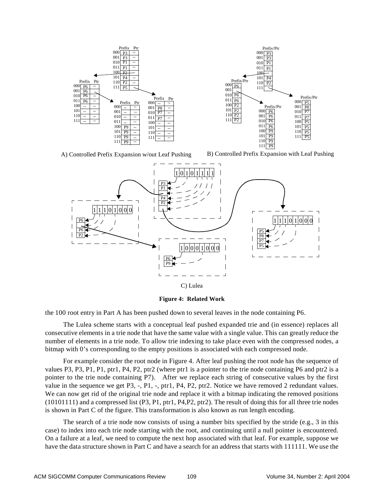

**Figure 4: Related Work**

the 100 root entry in Part A has been pushed down to several leaves in the node containing P6.

The Lulea scheme starts with a conceptual leaf pushed expanded trie and (in essence) replaces all consecutive elements in a trie node that have the same value with a single value. This can greatly reduce the number of elements in a trie node. To allow trie indexing to take place even with the compressed nodes, a bitmap with 0's corresponding to the empty positions is associated with each compressed node.

For example consider the root node in Figure 4. After leaf pushing the root node has the sequence of values P3, P3, P1, P1, ptr1, P4, P2, ptr2 (where ptr1 is a pointer to the trie node containing P6 and ptr2 is a pointer to the trie node containing P7). After we replace each string of consecutive values by the first value in the sequence we get P3, -, P1, -, ptr1, P4, P2, ptr2. Notice we have removed 2 redundant values. We can now get rid of the original trie node and replace it with a bitmap indicating the removed positions (10101111) and a compressed list (P3, P1, ptr1, P4,P2, ptr2). The result of doing this for all three trie nodes is shown in Part C of the figure. This transformation is also known as run length encoding.

The search of a trie node now consists of using a number bits specified by the stride (e.g., 3 in this case) to index into each trie node starting with the root, and continuing until a null pointer is encountered. On a failure at a leaf, we need to compute the next hop associated with that leaf. For example, suppose we have the data structure shown in Part C and have a search for an address that starts with 111111. We use the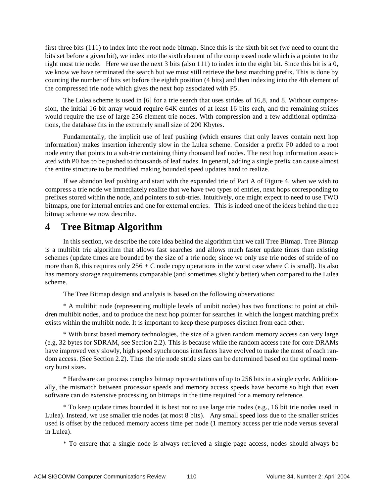first three bits (111) to index into the root node bitmap. Since this is the sixth bit set (we need to count the bits set before a given bit), we index into the sixth element of the compressed node which is a pointer to the right most trie node. Here we use the next 3 bits (also 111) to index into the eight bit. Since this bit is a 0, we know we have terminated the search but we must still retrieve the best matching prefix. This is done by counting the number of bits set before the eighth position (4 bits) and then indexing into the 4th element of the compressed trie node which gives the next hop associated with P5.

The Lulea scheme is used in [6] for a trie search that uses strides of 16,8, and 8. Without compression, the initial 16 bit array would require 64K entries of at least 16 bits each, and the remaining strides would require the use of large 256 element trie nodes. With compression and a few additional optimizations, the database fits in the extremely small size of 200 Kbytes.

Fundamentally, the implicit use of leaf pushing (which ensures that only leaves contain next hop information) makes insertion inherently slow in the Lulea scheme. Consider a prefix P0 added to a root node entry that points to a sub-trie containing thirty thousand leaf nodes. The next hop information associated with P0 has to be pushed to thousands of leaf nodes. In general, adding a single prefix can cause almost the entire structure to be modified making bounded speed updates hard to realize.

If we abandon leaf pushing and start with the expanded trie of Part A of Figure 4, when we wish to compress a trie node we immediately realize that we have two types of entries, next hops corresponding to prefixes stored within the node, and pointers to sub-tries. Intuitively, one might expect to need to use TWO bitmaps, one for internal entries and one for external entries. This is indeed one of the ideas behind the tree bitmap scheme we now describe.

## **4 Tree Bitmap Algorithm**

In this section, we describe the core idea behind the algorithm that we call Tree Bitmap. Tree Bitmap is a multibit trie algorithm that allows fast searches and allows much faster update times than existing schemes (update times are bounded by the size of a trie node; since we only use trie nodes of stride of no more than 8, this requires only  $256 + C$  node copy operations in the worst case where C is small). Its also has memory storage requirements comparable (and sometimes slightly better) when compared to the Lulea scheme.

The Tree Bitmap design and analysis is based on the following observations:

\* A multibit node (representing multiple levels of unibit nodes) has two functions: to point at children multibit nodes, and to produce the next hop pointer for searches in which the longest matching prefix exists within the multibit node. It is important to keep these purposes distinct from each other.

\* With burst based memory technologies, the size of a given random memory access can very large (e.g, 32 bytes for SDRAM, see Section 2.2). This is because while the random access rate for core DRAMs have improved very slowly, high speed synchronous interfaces have evolved to make the most of each random access. (See Section 2.2). Thus the trie node stride sizes can be determined based on the optimal memory burst sizes.

\* Hardware can process complex bitmap representations of up to 256 bits in a single cycle. Additionally, the mismatch between processor speeds and memory access speeds have become so high that even software can do extensive processing on bitmaps in the time required for a memory reference.

\* To keep update times bounded it is best not to use large trie nodes (e.g., 16 bit trie nodes used in Lulea). Instead, we use smaller trie nodes (at most 8 bits). Any small speed loss due to the smaller strides used is offset by the reduced memory access time per node (1 memory access per trie node versus several in Lulea).

\* To ensure that a single node is always retrieved a single page access, nodes should always be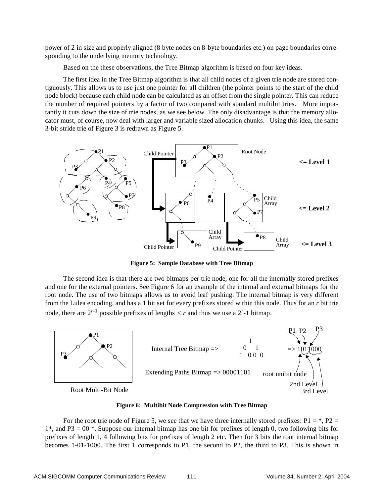power of 2 in size and properly aligned (8 byte nodes on 8-byte boundaries etc.) on page boundaries corresponding to the underlying memory technology.

Based on the these observations, the Tree Bitmap algorithm is based on four key ideas.

The first idea in the Tree Bitmap algorithm is that all child nodes of a given trie node are stored contiguously. This allows us to use just one pointer for all children (the pointer points to the start of the child node block) because each child node can be calculated as an offset from the single pointer. This can reduce the number of required pointers by a factor of two compared with standard multibit tries. More importantly it cuts down the size of trie nodes, as we see below. The only disadvantage is that the memory allocator must, of course, now deal with larger and variable sized allocation chunks. Using this idea, the same 3-bit stride trie of Figure 3 is redrawn as Figure 5.



**Figure 5: Sample Database with Tree Bitmap**

The second idea is that there are two bitmaps per trie node, one for all the internally stored prefixes and one for the external pointers. See Figure 6 for an example of the internal and external bitmaps for the root node. The use of two bitmaps allows us to avoid leaf pushing. The internal bitmap is very different from the Lulea encoding, and has a 1 bit set for every prefixes stored within this node. Thus for an *r* bit trie node, there are  $2^{r-1}$  possible prefixes of lengths  $\lt r$  and thus we use a  $2^r$ -1 bitmap.



**Figure 6: Multibit Node Compression with Tree Bitmap**

For the root trie node of Figure 5, we see that we have three internally stored prefixes:  $P1 = *, P2 =$ 1\*, and P3 = 00 \*. Suppose our internal bitmap has one bit for prefixes of length 0, two following bits for prefixes of length 1, 4 following bits for prefixes of length 2 etc. Then for 3 bits the root internal bitmap becomes 1-01-1000. The first 1 corresponds to P1, the second to P2, the third to P3. This is shown in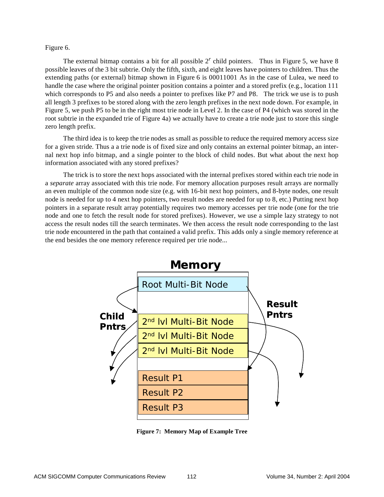#### Figure 6.

The external bitmap contains a bit for all possible  $2<sup>r</sup>$  child pointers. Thus in Figure 5, we have 8 possible leaves of the 3 bit subtrie. Only the fifth, sixth, and eight leaves have pointers to children. Thus the extending paths (or external) bitmap shown in Figure 6 is 00011001 As in the case of Lulea, we need to handle the case where the original pointer position contains a pointer and a stored prefix (e.g., location 111 which corresponds to P5 and also needs a pointer to prefixes like P7 and P8. The trick we use is to push all length 3 prefixes to be stored along with the zero length prefixes in the next node down. For example, in Figure 5, we push P5 to be in the right most trie node in Level 2. In the case of P4 (which was stored in the root subtrie in the expanded trie of Figure 4a) we actually have to create a trie node just to store this single zero length prefix.

The third idea is to keep the trie nodes as small as possible to reduce the required memory access size for a given stride. Thus a a trie node is of fixed size and only contains an external pointer bitmap, an internal next hop info bitmap, and a single pointer to the block of child nodes. But what about the next hop information associated with any stored prefixes?

The trick is to store the next hops associated with the internal prefixes stored within each trie node in a *separate* array associated with this trie node. For memory allocation purposes result arrays are normally an even multiple of the common node size (e.g. with 16-bit next hop pointers, and 8-byte nodes, one result node is needed for up to 4 next hop pointers, two result nodes are needed for up to 8, etc.) Putting next hop pointers in a separate result array potentially requires two memory accesses per trie node (one for the trie node and one to fetch the result node for stored prefixes). However, we use a simple lazy strategy to not access the result nodes till the search terminates. We then access the result node corresponding to the last trie node encountered in the path that contained a valid prefix. This adds only a single memory reference at the end besides the one memory reference required per trie node...



**Figure 7: Memory Map of Example Tree**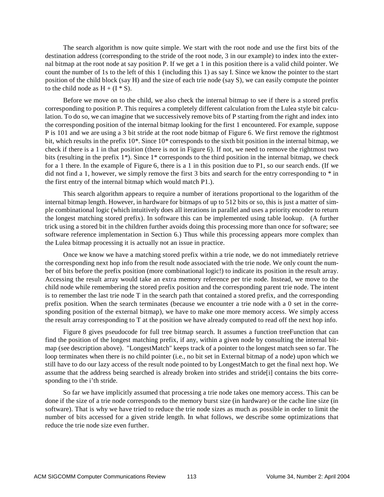The search algorithm is now quite simple. We start with the root node and use the first bits of the destination address (corresponding to the stride of the root node, 3 in our example) to index into the external bitmap at the root node at say position P. If we get a 1 in this position there is a valid child pointer. We count the number of 1s to the left of this 1 (including this 1) as say I. Since we know the pointer to the start position of the child block (say H) and the size of each trie node (say S), we can easily compute the pointer to the child node as  $H + (I * S)$ .

Before we move on to the child, we also check the internal bitmap to see if there is a stored prefix corresponding to position P. This requires a completely different calculation from the Lulea style bit calculation. To do so, we can imagine that we successively remove bits of P starting from the right and index into the corresponding position of the internal bitmap looking for the first 1 encountered. For example, suppose P is 101 and we are using a 3 bit stride at the root node bitmap of Figure 6. We first remove the rightmost bit, which results in the prefix 10\*. Since 10\* corresponds to the sixth bit position in the internal bitmap, we check if there is a 1 in that position (there is not in Figure 6). If not, we need to remove the rightmost two bits (resulting in the prefix 1\*). Since 1\* corresponds to the third position in the internal bitmap, we check for a 1 there. In the example of Figure 6, there is a 1 in this position due to P1, so our search ends. (If we did not find a 1, however, we simply remove the first 3 bits and search for the entry corresponding to \* in the first entry of the internal bitmap which would match P1.).

This search algorithm appears to require a number of iterations proportional to the logarithm of the internal bitmap length. However, in hardware for bitmaps of up to 512 bits or so, this is just a matter of simple combinational logic (which intuitively does all iterations in parallel and uses a priority encoder to return the longest matching stored prefix). In software this can be implemented using table lookup. (A further trick using a stored bit in the children further avoids doing this processing more than once for software; see software reference implementation in Section 6.) Thus while this processing appears more complex than the Lulea bitmap processing it is actually not an issue in practice.

Once we know we have a matching stored prefix within a trie node, we do not immediately retrieve the corresponding next hop info from the result node associated with the trie node. We only count the number of bits before the prefix position (more combinational logic!) to indicate its position in the result array. Accessing the result array would take an extra memory reference per trie node. Instead, we move to the child node while remembering the stored prefix position and the corresponding parent trie node. The intent is to remember the last trie node T in the search path that contained a stored prefix, and the corresponding prefix position. When the search terminates (because we encounter a trie node with a 0 set in the corresponding position of the external bitmap), we have to make one more memory access. We simply access the result array corresponding to T at the position we have already computed to read off the next hop info.

Figure 8 gives pseudocode for full tree bitmap search. It assumes a function treeFunction that can find the position of the longest matching prefix, if any, within a given node by consulting the internal bitmap (see description above). "LongestMatch" keeps track of a pointer to the longest match seen so far. The loop terminates when there is no child pointer (i.e., no bit set in External bitmap of a node) upon which we still have to do our lazy access of the result node pointed to by LongestMatch to get the final next hop. We assume that the address being searched is already broken into strides and stride[i] contains the bits corresponding to the i'th stride.

So far we have implicitly assumed that processing a trie node takes one memory access. This can be done if the size of a trie node corresponds to the memory burst size (in hardware) or the cache line size (in software). That is why we have tried to reduce the trie node sizes as much as possible in order to limit the number of bits accessed for a given stride length. In what follows, we describe some optimizations that reduce the trie node size even further.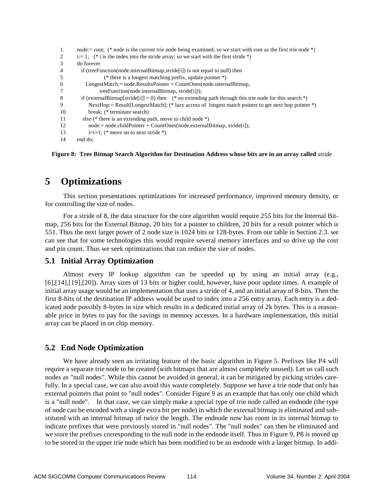| 1.             | node:= root; (* node is the current trie node being examined; so we start with root as the first trie node *) |
|----------------|---------------------------------------------------------------------------------------------------------------|
| 2              | i:= 1; (* i is the index into the stride array; so we start with the first stride *)                          |
| 3              | do forever                                                                                                    |
| $\overline{4}$ | if (treeFunction(node.internalBitmap,stride[i]) is not equal to null) then                                    |
| 5              | (* there is a longest matching prefix, update pointer *)                                                      |
| 6              | $Longest Match: = node. ResultsPointer + CountOnes(node.internalBitmap,$                                      |
| 7              | treeFunction(node.internalBitmap, stride[i]));                                                                |
| 8              | if (external Bitmap [stride [i] = 0) then (* no extending path through this trie node for this search *)      |
| 9              | NextHop:= Result[LongestMatch]; (* lazy access of longest match pointer to get next hop pointer *)            |
| 10             | break: (* terminate search)                                                                                   |
| -11            | else (* there is an extending path, move to child node *)                                                     |
| 12             | $node := nodechildPointer + CountOnes(node. externalBitmap, stride[i];$                                       |
| 13             | $i=i+1$ ; (* move on to next stride *)                                                                        |
| 14             | end do:                                                                                                       |

**Figure 8: Tree Bitmap Search Algorithm for Destination Address whose bits are in an array called** stride

## **5 Optimizations**

This section presentations optimizations for increased performance, improved memory density, or for controlling the size of nodes.

For a stride of 8, the data structure for the core algorithm would require 255 bits for the Internal Bitmap, 256 bits for the External Bitmap, 20 bits for a pointer to children, 20 bits for a result pointer which is 551. Thus the next larger power of 2 node size is 1024 bits or 128-bytes. From our table in Section 2.3. we can see that for some technologies this would require several memory interfaces and so drive up the cost and pin count. Thus we seek optimizations that can reduce the size of nodes.

### **5.1 Initial Array Optimization**

Almost every IP lookup algorithm can be speeded up by using an initial array (e.g., [6],[14],[19],[20]). Array sizes of 13 bits or higher could, however, have poor update times. A example of initial array usage would be an implementation that uses a stride of 4, and an initial array of 8-bits. Then the first 8-bits of the destination IP address would be used to index into a 256 entry array. Each entry is a dedicated node possibly 8-bytes in size which results in a dedicated initial array of 2k bytes. This is a reasonable price in bytes to pay for the savings in memory accesses. In a hardware implementation, this initial array can be placed in on chip memory.

### **5.2 End Node Optimization**

We have already seen an irritating feature of the basic algorithm in Figure 5. Prefixes like P4 will require a separate trie node to be created (with bitmaps that are almost completely unused). Let us call such nodes as "null nodes". While this cannot be avoided in general, it can be mitigated by picking strides carefully. In a special case, we can also avoid this waste completely. Suppose we have a trie node that only has external pointers that point to "null nodes". Consider Figure 9 as an example that has only one child which is a "null node". In that case, we can simply make a special type of trie node called an endnode (the type of node can be encoded with a single extra bit per node) in which the external bitmap is eliminated and substituted with an internal bitmap of twice the length. The endnode now has room in its internal bitmap to indicate prefixes that were previously stored in "null nodes". The "null nodes" can then be eliminated and we store the prefixes corresponding to the null node in the endnode itself. Thus in Figure 9, P8 is moved up to be stored in the upper trie node which has been modified to be an endnode with a larger bitmap. In addi-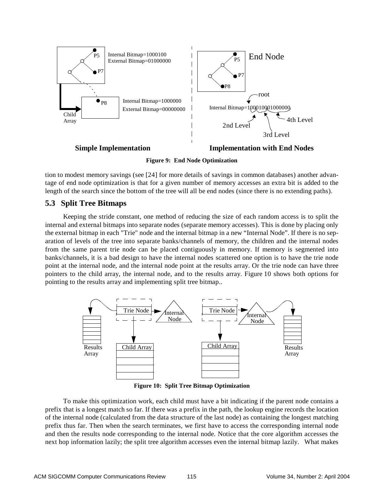

**Figure 9: End Node Optimization**

tion to modest memory savings (see [24] for more details of savings in common databases) another advantage of end node optimization is that for a given number of memory accesses an extra bit is added to the length of the search since the bottom of the tree will all be end nodes (since there is no extending paths).

### **5.3 Split Tree Bitmaps**

Keeping the stride constant, one method of reducing the size of each random access is to split the internal and external bitmaps into separate nodes (separate memory accesses). This is done by placing only the external bitmap in each "Trie" node and the internal bitmap in a new "Internal Node". If there is no separation of levels of the tree into separate banks/channels of memory, the children and the internal nodes from the same parent trie node can be placed contiguously in memory. If memory is segmented into banks/channels, it is a bad design to have the internal nodes scattered one option is to have the trie node point at the internal node, and the internal node point at the results array. Or the trie node can have three pointers to the child array, the internal node, and to the results array. Figure 10 shows both options for pointing to the results array and implementing split tree bitmap..



**Figure 10: Split Tree Bitmap Optimization** 

To make this optimization work, each child must have a bit indicating if the parent node contains a prefix that is a longest match so far. If there was a prefix in the path, the lookup engine records the location of the internal node (calculated from the data structure of the last node) as containing the longest matching prefix thus far. Then when the search terminates, we first have to access the corresponding internal node and then the results node corresponding to the internal node. Notice that the core algorithm accesses the next hop information lazily; the split tree algorithm accesses even the internal bitmap lazily. What makes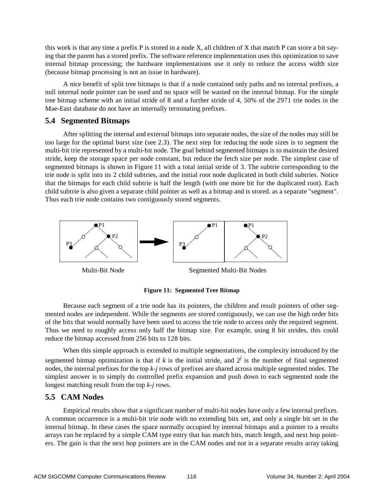this work is that any time a prefix P is stored in a node X, all children of X that match P can store a bit saying that the parent has a stored prefix. The software reference implementation uses this optimization to save internal bitmap processing; the hardware implementations use it only to reduce the access width size (because bitmap processing is not an issue in hardware).

A nice benefit of split tree bitmaps is that if a node contained only paths and no internal prefixes, a null internal node pointer can be used and no space will be wasted on the internal bitmap. For the simple tree bitmap scheme with an initial stride of 8 and a further stride of 4, 50% of the 2971 trie nodes in the Mae-East database do not have an internally terminating prefixes.

### **5.4 Segmented Bitmaps**

After splitting the internal and external bitmaps into separate nodes, the size of the nodes may still be too large for the optimal burst size (see 2.3). The next step for reducing the node sizes is to segment the multi-bit trie represented by a multi-bit node. The goal behind segmented bitmaps is to maintain the desired stride, keep the storage space per node constant, but reduce the fetch size per node. The simplest case of segmented bitmaps is shown in Figure 11 with a total initial stride of 3. The subtrie corresponding to the trie node is split into its 2 child subtries, and the initial root node duplicated in both child subtries. Notice that the bitmaps for each child subtrie is half the length (with one more bit for the duplicated root). Each child subtrie is also given a separate child pointer as well as a bitmap and is stored. as a separate "segment". Thus each trie node contains two contiguously stored segments.



**Figure 11: Segmented Tree Bitmap**

Because each segment of a trie node has its pointers, the children and result pointers of other segmented nodes are independent. While the segments are stored contiguously, we can use the high order bits of the bits that would normally have been used to access the trie node to access only the required segment. Thus we need to roughly access only half the bitmap size. For example, using 8 bit strides, this could reduce the bitmap accessed from 256 bits to 128 bits.

When this simple approach is extended to multiple segmentations, the complexity introduced by the segmented bitmap optimization is that if  $k$  is the initial stride, and  $2^{j}$  is the number of final segmented nodes, the internal prefixes for the top *k-j* rows of prefixes are shared across multiple segmented nodes. The simplest answer is to simply do controlled prefix expansion and push down to each segmented node the longest matching result from the top *k-j* rows.

### **5.5 CAM Nodes**

Empirical results show that a significant number of multi-bit nodes have only a few internal prefixes. A common occurrence is a multi-bit trie node with no extending bits set, and only a single bit set in the internal bitmap. In these cases the space normally occupied by internal bitmaps and a pointer to a results arrays can be replaced by a simple CAM type entry that has match bits, match length, and next hop pointers. The gain is that the next hop pointers are in the CAM nodes and not in a separate results array taking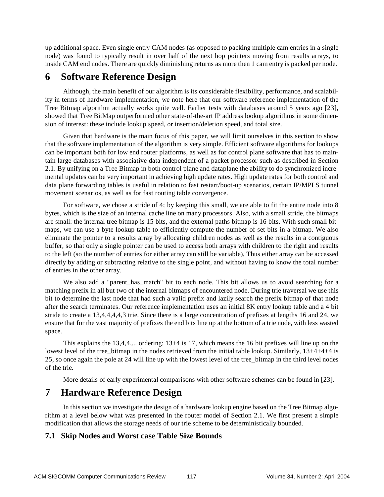up additional space. Even single entry CAM nodes (as opposed to packing multiple cam entries in a single node) was found to typically result in over half of the next hop pointers moving from results arrays, to inside CAM end nodes. There are quickly diminishing returns as more then 1 cam entry is packed per node.

## **6 Software Reference Design**

Although, the main benefit of our algorithm is its considerable flexibility, performance, and scalability in terms of hardware implementation, we note here that our software reference implementation of the Tree Bitmap algorithm actually works quite well. Earlier tests with databases around 5 years ago [23], showed that Tree BitMap outperformed other state-of-the-art IP address lookup algorithms in some dimension of interest: these include lookup speed, or insertion/deletion speed, and total size.

Given that hardware is the main focus of this paper, we will limit ourselves in this section to show that the software implementation of the algorithm is very simple. Efficient software algorithms for lookups can be important both for low end router platforms, as well as for control plane software that has to maintain large databases with associative data independent of a packet processor such as described in Section 2.1. By unifying on a Tree Bitmap in both control plane and dataplane the ability to do synchronized incremental updates can be very important in achieving high update rates. High update rates for both control and data plane forwarding tables is useful in relation to fast restart/boot-up scenarios, certain IP/MPLS tunnel movement scenarios, as well as for fast routing table convergence.

For software, we chose a stride of 4; by keeping this small, we are able to fit the entire node into 8 bytes, which is the size of an internal cache line on many processors. Also, with a small stride, the bitmaps are small: the internal tree bitmap is 15 bits, and the external paths bitmap is 16 bits. With such small bitmaps, we can use a byte lookup table to efficiently compute the number of set bits in a bitmap. We also eliminate the pointer to a results array by allocating children nodes as well as the results in a contiguous buffer, so that only a single pointer can be used to access both arrays with children to the right and results to the left (so the number of entries for either array can still be variable), Thus either array can be accessed directly by adding or subtracting relative to the single point, and without having to know the total number of entries in the other array.

We also add a "parent\_has\_match" bit to each node. This bit allows us to avoid searching for a matching prefix in all but two of the internal bitmaps of encountered node. During trie traversal we use this bit to determine the last node that had such a valid prefix and lazily search the prefix bitmap of that node after the search terminates. Our reference implementation uses an initial 8K entry lookup table and a 4 bit stride to create a 13,4,4,4,4,3 trie. Since there is a large concentration of prefixes at lengths 16 and 24, we ensure that for the vast majority of prefixes the end bits line up at the bottom of a trie node, with less wasted space.

This explains the 13,4,4,... ordering: 13+4 is 17, which means the 16 bit prefixes will line up on the lowest level of the tree bitmap in the nodes retrieved from the initial table lookup. Similarly,  $13+4+4+4$  is 25, so once again the pole at 24 will line up with the lowest level of the tree\_bitmap in the third level nodes of the trie.

More details of early experimental comparisons with other software schemes can be found in [23].

## **7 Hardware Reference Design**

In this section we investigate the design of a hardware lookup engine based on the Tree Bitmap algorithm at a level below what was presented in the router model of Section 2.1. We first present a simple modification that allows the storage needs of our trie scheme to be deterministically bounded.

### **7.1 Skip Nodes and Worst case Table Size Bounds**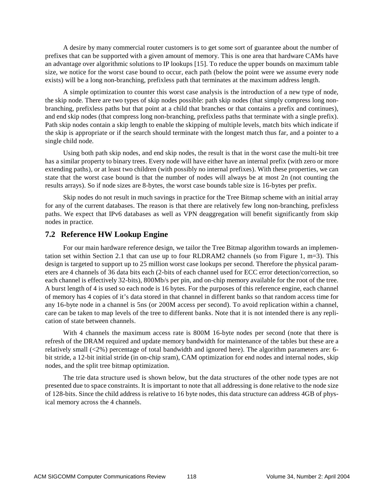A desire by many commercial router customers is to get some sort of guarantee about the number of prefixes that can be supported with a given amount of memory. This is one area that hardware CAMs have an advantage over algorithmic solutions to IP lookups [15]. To reduce the upper bounds on maximum table size, we notice for the worst case bound to occur, each path (below the point were we assume every node exists) will be a long non-branching, prefixless path that terminates at the maximum address length.

A simple optimization to counter this worst case analysis is the introduction of a new type of node, the skip node. There are two types of skip nodes possible: path skip nodes (that simply compress long nonbranching, prefixless paths but that point at a child that branches or that contains a prefix and continues), and end skip nodes (that compress long non-branching, prefixless paths that terminate with a single prefix). Path skip nodes contain a skip length to enable the skipping of multiple levels, match bits which indicate if the skip is appropriate or if the search should terminate with the longest match thus far, and a pointer to a single child node.

Using both path skip nodes, and end skip nodes, the result is that in the worst case the multi-bit tree has a similar property to binary trees. Every node will have either have an internal prefix (with zero or more extending paths), or at least two children (with possibly no internal prefixes). With these properties, we can state that the worst case bound is that the number of nodes will always be at most 2n (not counting the results arrays). So if node sizes are 8-bytes, the worst case bounds table size is 16-bytes per prefix.

Skip nodes do not result in much savings in practice for the Tree Bitmap scheme with an initial array for any of the current databases. The reason is that there are relatively few long non-branching, prefixless paths. We expect that IPv6 databases as well as VPN deaggregation will benefit significantly from skip nodes in practice.

### **7.2 Reference HW Lookup Engine**

For our main hardware reference design, we tailor the Tree Bitmap algorithm towards an implementation set within Section 2.1 that can use up to four RLDRAM2 channels (so from Figure 1, m=3). This design is targeted to support up to 25 million worst case lookups per second. Therefore the physical parameters are 4 channels of 36 data bits each (2-bits of each channel used for ECC error detection/correction, so each channel is effectively 32-bits), 800Mb/s per pin, and on-chip memory available for the root of the tree. A burst length of 4 is used so each node is 16 bytes. For the purposes of this reference engine, each channel of memory has 4 copies of it's data stored in that channel in different banks so that random access time for any 16-byte node in a channel is 5ns (or 200M access per second). To avoid replication within a channel, care can be taken to map levels of the tree to different banks. Note that it is not intended there is any replication of state between channels.

With 4 channels the maximum access rate is 800M 16-byte nodes per second (note that there is refresh of the DRAM required and update memory bandwidth for maintenance of the tables but these are a relatively small (<2%) percentage of total bandwidth and ignored here). The algorithm parameters are: 6 bit stride, a 12-bit initial stride (in on-chip sram), CAM optimization for end nodes and internal nodes, skip nodes, and the split tree bitmap optimization.

The trie data structure used is shown below, but the data structures of the other node types are not presented due to space constraints. It is important to note that all addressing is done relative to the node size of 128-bits. Since the child address is relative to 16 byte nodes, this data structure can address 4GB of physical memory across the 4 channels.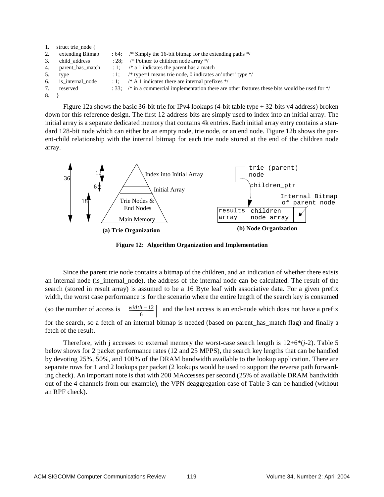```
1. struct trie_node {
2. extending Bitmap : 64; /* Simply the 16-bit bitmap for the extending paths */
3. child address : 28; /* Pointer to children node array \frac{*}{ }4. parent_has_match : 1; /* a 1 indicates the parent has a match
5. type : 1; /* type=1 means trie node, 0 indicates an'other' type */6. is internal node : 1; /* A 1 indicates there are internal prefixes */7. reserved : 33; /* in a commercial implementation there are other features these bits would be used for */
8. }
```
Figure 12a shows the basic 36-bit trie for IPv4 lookups (4-bit table type + 32-bits v4 address) broken down for this reference design. The first 12 address bits are simply used to index into an initial array. The initial array is a separate dedicated memory that contains 4k entries. Each initial array entry contains a standard 128-bit node which can either be an empty node, trie node, or an end node. Figure 12b shows the parent-child relationship with the internal bitmap for each trie node stored at the end of the children node array.



**Figure 12: Algorithm Organization and Implementation**

Since the parent trie node contains a bitmap of the children, and an indication of whether there exists an internal node (is\_internal\_node), the address of the internal node can be calculated. The result of the search (stored in result array) is assumed to be a 16 Byte leaf with associative data. For a given prefix width, the worst case performance is for the scenario where the entire length of the search key is consumed (so the number of access is  $\left[\frac{width - 12}{} \right]$  and the last access is an end-node which does not have a prefix for the search, so a fetch of an internal bitmap is needed (based on parent\_has\_match flag) and finally a fetch of the result.  $\frac{w^2}{6}$ 

Therefore, with j accesses to external memory the worst-case search length is  $12+6*(i-2)$ . Table 5 below shows for 2 packet performance rates (12 and 25 MPPS), the search key lengths that can be handled by devoting 25%, 50%, and 100% of the DRAM bandwidth available to the lookup application. There are separate rows for 1 and 2 lookups per packet (2 lookups would be used to support the reverse path forwarding check). An important note is that with 200 MAccesses per second (25% of available DRAM bandwidth out of the 4 channels from our example), the VPN deaggregation case of Table 3 can be handled (without an RPF check).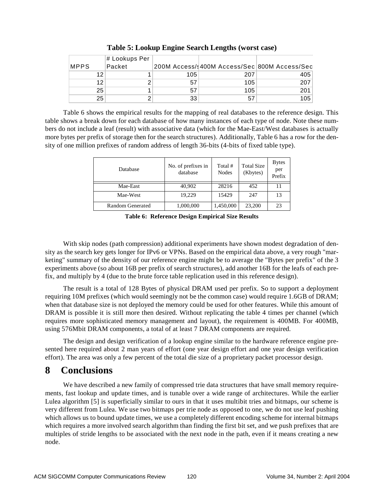|             | ∣# Lookups Per |     |                                              |     |
|-------------|----------------|-----|----------------------------------------------|-----|
| <b>MPPS</b> | Packet         |     | 200M Access/s400M Access/Sec 800M Access/Sec |     |
| 12          |                | 105 | 207                                          | 405 |
| 12          |                | 57  | 105                                          | 207 |
| 25          |                | 57  | 105                                          | 201 |
| 25          |                | 33  | 57                                           | 105 |

| Table 5: Lookup Engine Search Lengths (worst case) |  |  |  |  |
|----------------------------------------------------|--|--|--|--|
|----------------------------------------------------|--|--|--|--|

Table 6 shows the empirical results for the mapping of real databases to the reference design. This table shows a break down for each database of how many instances of each type of node. Note these numbers do not include a leaf (result) with associative data (which for the Mae-East/West databases is actually more bytes per prefix of storage then for the search structures). Additionally, Table 6 has a row for the density of one million prefixes of random address of length 36-bits (4-bits of fixed table type).

| Database                | No. of prefixes in<br>database | Total #<br><b>Nodes</b> | <b>Total Size</b><br>(Kbytes) | <b>Bytes</b><br>per<br>Prefix |
|-------------------------|--------------------------------|-------------------------|-------------------------------|-------------------------------|
| Mae-East                | 40,902                         | 28216                   | 452                           | 11                            |
| Mae-West                | 19,229                         | 15429                   | 247                           | 13                            |
| <b>Random Generated</b> | 1,000,000                      | 1,450,000               | 23,200                        | 23                            |

**Table 6: Reference Design Empirical Size Results**

With skip nodes (path compression) additional experiments have shown modest degradation of density as the search key gets longer for IPv6 or VPNs. Based on the empirical data above, a very rough "marketing" summary of the density of our reference engine might be to average the "Bytes per prefix" of the 3 experiments above (so about 16B per prefix of search structures), add another 16B for the leafs of each prefix, and multiply by 4 (due to the brute force table replication used in this reference design).

The result is a total of 128 Bytes of physical DRAM used per prefix. So to support a deployment requiring 10M prefixes (which would seemingly not be the common case) would require 1.6GB of DRAM; when that database size is not deployed the memory could be used for other features. While this amount of DRAM is possible it is still more then desired. Without replicating the table 4 times per channel (which requires more sophisticated memory management and layout), the requirement is 400MB. For 400MB, using 576Mbit DRAM components, a total of at least 7 DRAM components are required.

The design and design verification of a lookup engine similar to the hardware reference engine presented here required about 2 man years of effort (one year design effort and one year design verification effort). The area was only a few percent of the total die size of a proprietary packet processor design.

## **8 Conclusions**

We have described a new family of compressed trie data structures that have small memory requirements, fast lookup and update times, and is tunable over a wide range of architectures. While the earlier Lulea algorithm [5] is superficially similar to ours in that it uses multibit tries and bitmaps, our scheme is very different from Lulea. We use two bitmaps per trie node as opposed to one, we do not use leaf pushing which allows us to bound update times, we use a completely different encoding scheme for internal bitmaps which requires a more involved search algorithm than finding the first bit set, and we push prefixes that are multiples of stride lengths to be associated with the next node in the path, even if it means creating a new node.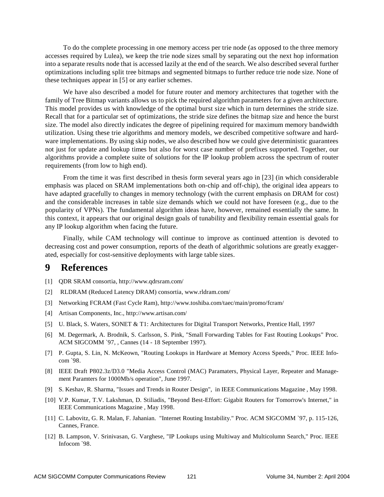To do the complete processing in one memory access per trie node (as opposed to the three memory accesses required by Lulea), we keep the trie node sizes small by separating out the next hop information into a separate results node that is accessed lazily at the end of the search. We also described several further optimizations including split tree bitmaps and segmented bitmaps to further reduce trie node size. None of these techniques appear in [5] or any earlier schemes.

We have also described a model for future router and memory architectures that together with the family of Tree Bitmap variants allows us to pick the required algorithm parameters for a given architecture. This model provides us with knowledge of the optimal burst size which in turn determines the stride size. Recall that for a particular set of optimizations, the stride size defines the bitmap size and hence the burst size. The model also directly indicates the degree of pipelining required for maximum memory bandwidth utilization. Using these trie algorithms and memory models, we described competitive software and hardware implementations. By using skip nodes, we also described how we could give deterministic guarantees not just for update and lookup times but also for worst case number of prefixes supported. Together, our algorithms provide a complete suite of solutions for the IP lookup problem across the spectrum of router requirements (from low to high end).

From the time it was first described in thesis form several years ago in [23] (in which considerable emphasis was placed on SRAM implementations both on-chip and off-chip), the original idea appears to have adapted gracefully to changes in memory technology (with the current emphasis on DRAM for cost) and the considerable increases in table size demands which we could not have foreseen (e.g., due to the popularity of VPNs). The fundamental algorithm ideas have, however, remained essentially the same. In this context, it appears that our original design goals of tunability and flexibility remain essential goals for any IP lookup algorithm when facing the future.

Finally, while CAM technology will continue to improve as continued attention is devoted to decreasing cost and power consumption, reports of the death of algorithmic solutions are greatly exaggerated, especially for cost-sensitive deployments with large table sizes.

## **9 References**

- [1] QDR SRAM consortia, http://www.qdrsram.com/
- [2] RLDRAM (Reduced Latency DRAM) consortia, www.rldram.com/
- [3] Networking FCRAM (Fast Cycle Ram), http://www.toshiba.com/taec/main/promo/fcram/
- [4] Artisan Components, Inc., http://www.artisan.com/
- [5] U. Black, S. Waters, SONET & T1: Architectures for Digital Transport Networks, Prentice Hall, 1997
- [6] M. Degermark, A. Brodnik, S. Carlsson, S. Pink, "Small Forwarding Tables for Fast Routing Lookups" Proc. ACM SIGCOMM `97, , Cannes (14 - 18 September 1997).
- [7] P. Gupta, S. Lin, N. McKeown, "Routing Lookups in Hardware at Memory Access Speeds," Proc. IEEE Infocom `98.
- [8] IEEE Draft P802.3z/D3.0 "Media Access Control (MAC) Paramaters, Physical Layer, Repeater and Management Paramters for 1000Mb/s operation", June 1997.
- [9] S. Keshav, R. Sharma, "Issues and Trends in Router Design", in IEEE Communications Magazine , May 1998.
- [10] V.P. Kumar, T.V. Lakshman, D. Stiliadis, "Beyond Best-Effort: Gigabit Routers for Tomorrow's Internet," in IEEE Communications Magazine , May 1998.
- [11] C. Labovitz, G. R. Malan, F. Jahanian. "Internet Routing Instability." Proc. ACM SIGCOMM `97, p. 115-126, Cannes, France.
- [12] B. Lampson, V. Srinivasan, G. Varghese, "IP Lookups using Multiway and Multicolumn Search," Proc. IEEE Infocom `98.